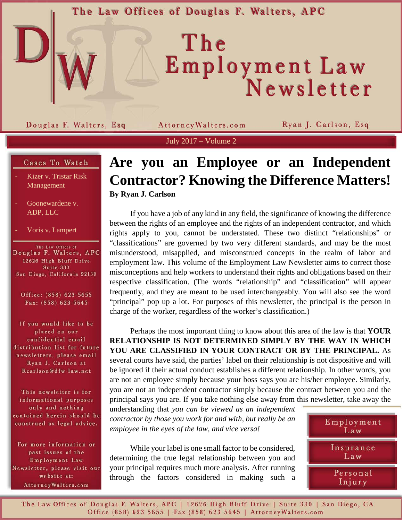The Law Offices of Douglas F. Walters, APC

# The Employment Law<br>Newsletter

Douglas F. Walters, Esq

Attorney Walters.com

Ryan J. Carlson, Esq

July 2017 – Volume 2

### Cases To Watch

- Kizer v. Tristar Risk Management
- Goonewardene v. ADP, LLC
- Voris v. Lampert

The Law Offices of<br>Douglas F. Walters, APC 12626 High Bluff Drive Suite 330 San Diego, California 92130

Office: (858) 623-5655 Fax: (858) 623-5645

If you would like to be placed on our confidential email distribution list for future newsletters, please email Ryan J. Carlson at Rcarlson@dfw-law.net

This newsletter is for informational purposes only and nothing contained herein should be construed as legal advice.

For more information or past issues of the Employment Law Newsletter, please visit our website at: AttorneyWalters.com

# **Are you an Employee or an Independent Contractor? Knowing the Difference Matters! By Ryan J. Carlson**

If you have a job of any kind in any field, the significance of knowing the difference between the rights of an employee and the rights of an independent contractor, and which rights apply to you, cannot be understated. These two distinct "relationships" or "classifications" are governed by two very different standards, and may be the most misunderstood, misapplied, and misconstrued concepts in the realm of labor and employment law. This volume of the Employment Law Newsletter aims to correct those misconceptions and help workers to understand their rights and obligations based on their respective classification. (The words "relationship" and "classification" will appear frequently, and they are meant to be used interchangeably. You will also see the word "principal" pop up a lot. For purposes of this newsletter, the principal is the person in charge of the worker, regardless of the worker's classification.)

Perhaps the most important thing to know about this area of the law is that **YOUR RELATIONSHIP IS NOT DETERMINED SIMPLY BY THE WAY IN WHICH YOU ARE CLASSIFIED IN YOUR CONTRACT OR BY THE PRINCIPAL.** As several courts have said, the parties' label on their relationship is not dispositive and will be ignored if their actual conduct establishes a different relationship. In other words, you are not an employee simply because your boss says you are his/her employee. Similarly, you are not an independent contractor simply because the contract between you and the principal says you are. If you take nothing else away from this newsletter, take away the

understanding that *you can be viewed as an independent contractor by those you work for and with, but really be an employee in the eyes of the law, and vice versa!*

While your label is one small factor to be considered, determining the true legal relationship between you and your principal requires much more analysis. After running through the factors considered in making such a



The Law Offices of Douglas F. Walters, APC | 12626 High Bluff Drive | Suite 330 | San Diego, CA Office (858) 623 5655 | Fax (858) 623 5645 | Attorney Walters.com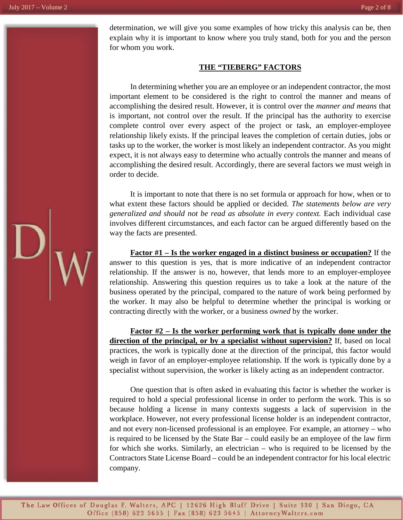determination, we will give you some examples of how tricky this analysis can be, then explain why it is important to know where you truly stand, both for you and the person for whom you work.

#### **THE "TIEBERG" FACTORS**

In determining whether you are an employee or an independent contractor, the most important element to be considered is the right to control the manner and means of accomplishing the desired result. However, it is control over the *manner and means* that is important, not control over the result. If the principal has the authority to exercise complete control over every aspect of the project or task, an employer-employee relationship likely exists. If the principal leaves the completion of certain duties, jobs or tasks up to the worker, the worker is most likely an independent contractor. As you might expect, it is not always easy to determine who actually controls the manner and means of accomplishing the desired result. Accordingly, there are several factors we must weigh in order to decide.

It is important to note that there is no set formula or approach for how, when or to what extent these factors should be applied or decided. *The statements below are very generalized and should not be read as absolute in every context.* Each individual case involves different circumstances, and each factor can be argued differently based on the way the facts are presented.

**Factor #1 – Is the worker engaged in a distinct business or occupation?** If the answer to this question is yes, that is more indicative of an independent contractor relationship. If the answer is no, however, that lends more to an employer-employee relationship. Answering this question requires us to take a look at the nature of the business operated by the principal, compared to the nature of work being performed by the worker. It may also be helpful to determine whether the principal is working or contracting directly with the worker, or a business *owned* by the worker.

**Factor #2 – Is the worker performing work that is typically done under the direction of the principal, or by a specialist without supervision?** If, based on local practices, the work is typically done at the direction of the principal, this factor would weigh in favor of an employer-employee relationship. If the work is typically done by a specialist without supervision, the worker is likely acting as an independent contractor.

One question that is often asked in evaluating this factor is whether the worker is required to hold a special professional license in order to perform the work. This is so because holding a license in many contexts suggests a lack of supervision in the workplace. However, not every professional license holder is an independent contractor, and not every non-licensed professional is an employee. For example, an attorney – who is required to be licensed by the State Bar – could easily be an employee of the law firm for which she works. Similarly, an electrician – who is required to be licensed by the Contractors State License Board – could be an independent contractor for his local electric company.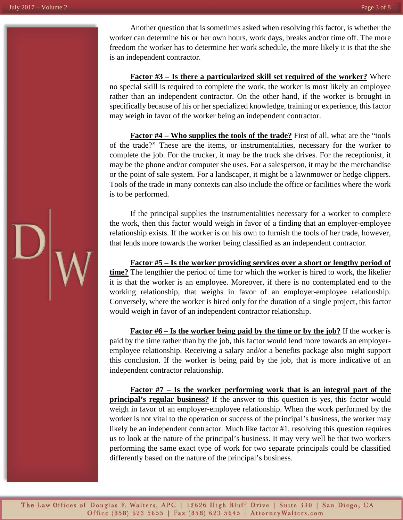Another question that is sometimes asked when resolving this factor, is whether the worker can determine his or her own hours, work days, breaks and/or time off. The more freedom the worker has to determine her work schedule, the more likely it is that the she is an independent contractor.

**Factor #3 – Is there a particularized skill set required of the worker?** Where no special skill is required to complete the work, the worker is most likely an employee rather than an independent contractor. On the other hand, if the worker is brought in specifically because of his or her specialized knowledge, training or experience, this factor may weigh in favor of the worker being an independent contractor.

**Factor #4 – Who supplies the tools of the trade?** First of all, what are the "tools of the trade?" These are the items, or instrumentalities, necessary for the worker to complete the job. For the trucker, it may be the truck she drives. For the receptionist, it may be the phone and/or computer she uses. For a salesperson, it may be the merchandise or the point of sale system. For a landscaper, it might be a lawnmower or hedge clippers. Tools of the trade in many contexts can also include the office or facilities where the work is to be performed.

If the principal supplies the instrumentalities necessary for a worker to complete the work, then this factor would weigh in favor of a finding that an employer-employee relationship exists. If the worker is on his own to furnish the tools of her trade, however, that lends more towards the worker being classified as an independent contractor.

**Factor #5 – Is the worker providing services over a short or lengthy period of time?** The lengthier the period of time for which the worker is hired to work, the likelier it is that the worker is an employee. Moreover, if there is no contemplated end to the working relationship, that weighs in favor of an employer-employee relationship. Conversely, where the worker is hired only for the duration of a single project, this factor would weigh in favor of an independent contractor relationship.

**Factor #6 – Is the worker being paid by the time or by the job?** If the worker is paid by the time rather than by the job, this factor would lend more towards an employeremployee relationship. Receiving a salary and/or a benefits package also might support this conclusion. If the worker is being paid by the job, that is more indicative of an independent contractor relationship.

**Factor #7 – Is the worker performing work that is an integral part of the principal's regular business?** If the answer to this question is yes, this factor would weigh in favor of an employer-employee relationship. When the work performed by the worker is not vital to the operation or success of the principal's business, the worker may likely be an independent contractor. Much like factor #1, resolving this question requires us to look at the nature of the principal's business. It may very well be that two workers performing the same exact type of work for two separate principals could be classified differently based on the nature of the principal's business.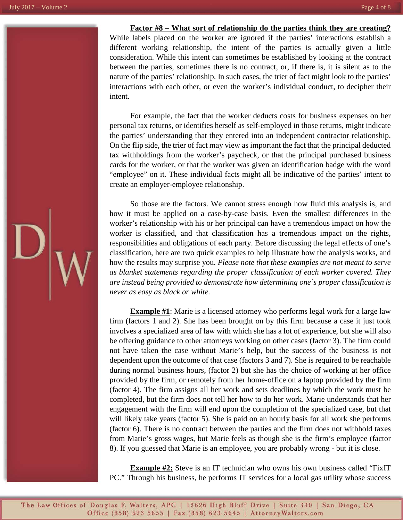#### **Factor #8 – What sort of relationship do the parties think they are creating?**

While labels placed on the worker are ignored if the parties' interactions establish a different working relationship, the intent of the parties is actually given a little consideration. While this intent can sometimes be established by looking at the contract between the parties, sometimes there is no contract, or, if there is, it is silent as to the nature of the parties' relationship. In such cases, the trier of fact might look to the parties' interactions with each other, or even the worker's individual conduct, to decipher their intent.

For example, the fact that the worker deducts costs for business expenses on her personal tax returns, or identifies herself as self-employed in those returns, might indicate the parties' understanding that they entered into an independent contractor relationship. On the flip side, the trier of fact may view as important the fact that the principal deducted tax withholdings from the worker's paycheck, or that the principal purchased business cards for the worker, or that the worker was given an identification badge with the word "employee" on it. These individual facts might all be indicative of the parties' intent to create an employer-employee relationship.

So those are the factors. We cannot stress enough how fluid this analysis is, and how it must be applied on a case-by-case basis. Even the smallest differences in the worker's relationship with his or her principal can have a tremendous impact on how the worker is classified, and that classification has a tremendous impact on the rights, responsibilities and obligations of each party. Before discussing the legal effects of one's classification, here are two quick examples to help illustrate how the analysis works, and how the results may surprise you. *Please note that these examples are not meant to serve as blanket statements regarding the proper classification of each worker covered. They are instead being provided to demonstrate how determining one's proper classification is never as easy as black or white.*

**Example #1**: Marie is a licensed attorney who performs legal work for a large law firm (factors 1 and 2). She has been brought on by this firm because a case it just took involves a specialized area of law with which she has a lot of experience, but she will also be offering guidance to other attorneys working on other cases (factor 3). The firm could not have taken the case without Marie's help, but the success of the business is not dependent upon the outcome of that case (factors 3 and 7). She is required to be reachable during normal business hours, (factor 2) but she has the choice of working at her office provided by the firm, or remotely from her home-office on a laptop provided by the firm (factor 4). The firm assigns all her work and sets deadlines by which the work must be completed, but the firm does not tell her how to do her work. Marie understands that her engagement with the firm will end upon the completion of the specialized case, but that will likely take years (factor 5). She is paid on an hourly basis for all work she performs (factor 6). There is no contract between the parties and the firm does not withhold taxes from Marie's gross wages, but Marie feels as though she is the firm's employee (factor 8). If you guessed that Marie is an employee, you are probably wrong - but it is close.

**Example #2:** Steve is an IT technician who owns his own business called "FixIT" PC." Through his business, he performs IT services for a local gas utility whose success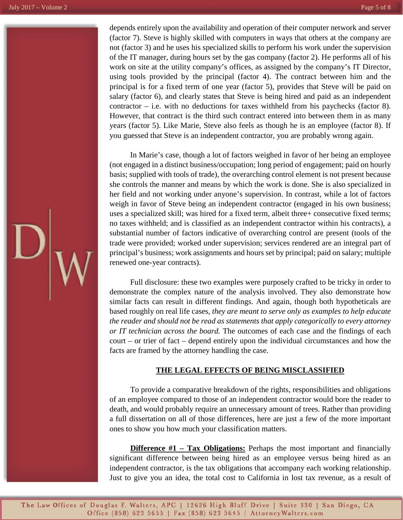depends entirely upon the availability and operation of their computer network and server (factor 7). Steve is highly skilled with computers in ways that others at the company are not (factor 3) and he uses his specialized skills to perform his work under the supervision of the IT manager, during hours set by the gas company (factor 2). He performs all of his work on site at the utility company's offices, as assigned by the company's IT Director, using tools provided by the principal (factor 4). The contract between him and the principal is for a fixed term of one year (factor 5), provides that Steve will be paid on salary (factor 6), and clearly states that Steve is being hired and paid as an independent contractor – i.e. with no deductions for taxes withheld from his paychecks (factor 8). However, that contract is the third such contract entered into between them in as many years (factor 5). Like Marie, Steve also feels as though he is an employee (factor 8). If you guessed that Steve is an independent contractor, you are probably wrong again.

In Marie's case, though a lot of factors weighed in favor of her being an employee (not engaged in a distinct business/occupation; long period of engagement; paid on hourly basis; supplied with tools of trade), the overarching control element is not present because she controls the manner and means by which the work is done. She is also specialized in her field and not working under anyone's supervision. In contrast, while a lot of factors weigh in favor of Steve being an independent contractor (engaged in his own business; uses a specialized skill; was hired for a fixed term, albeit three+ consecutive fixed terms; no taxes withheld; and is classified as an independent contractor within his contracts), a substantial number of factors indicative of overarching control are present (tools of the trade were provided; worked under supervision; services rendered are an integral part of principal's business; work assignments and hours set by principal; paid on salary; multiple renewed one-year contracts).

Full disclosure: these two examples were purposely crafted to be tricky in order to demonstrate the complex nature of the analysis involved. They also demonstrate how similar facts can result in different findings. And again, though both hypotheticals are based roughly on real life cases, *they are meant to serve only as examples to help educate the reader and should not be read as statements that apply categorically to every attorney or IT technician across the board.* The outcomes of each case and the findings of each court – or trier of fact – depend entirely upon the individual circumstances and how the facts are framed by the attorney handling the case.

## **THE LEGAL EFFECTS OF BEING MISCLASSIFIED**

To provide a comparative breakdown of the rights, responsibilities and obligations of an employee compared to those of an independent contractor would bore the reader to death, and would probably require an unnecessary amount of trees. Rather than providing a full dissertation on all of those differences, here are just a few of the more important ones to show you how much your classification matters.

**Difference #1 – Tax Obligations:** Perhaps the most important and financially significant difference between being hired as an employee versus being hired as an independent contractor, is the tax obligations that accompany each working relationship. Just to give you an idea, the total cost to California in lost tax revenue, as a result of

The Law Offices of Douglas F. Walters, APC | 12626 High Bluff Drive | Suite 330 | San Diego, CA Office (858) 623 5655 | Fax (858) 623 5645 | Attorney Walters.com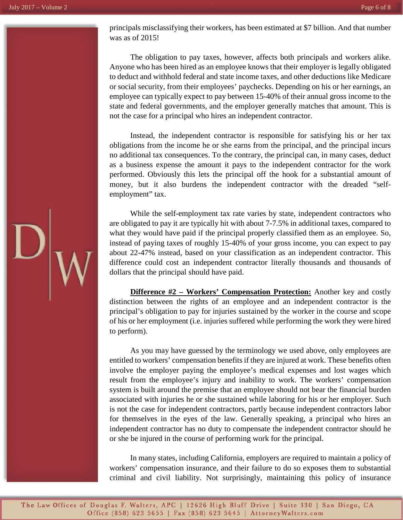principals misclassifying their workers, has been estimated at \$7 billion. And that number was as of 2015!

The obligation to pay taxes, however, affects both principals and workers alike. Anyone who has been hired as an employee knows that their employer is legally obligated to deduct and withhold federal and state income taxes, and other deductions like Medicare or social security, from their employees' paychecks. Depending on his or her earnings, an employee can typically expect to pay between 15-40% of their annual gross income to the state and federal governments, and the employer generally matches that amount. This is not the case for a principal who hires an independent contractor.

Instead, the independent contractor is responsible for satisfying his or her tax obligations from the income he or she earns from the principal, and the principal incurs no additional tax consequences. To the contrary, the principal can, in many cases, deduct as a business expense the amount it pays to the independent contractor for the work performed. Obviously this lets the principal off the hook for a substantial amount of money, but it also burdens the independent contractor with the dreaded "selfemployment" tax.

While the self-employment tax rate varies by state, independent contractors who are obligated to pay it are typically hit with about 7-7.5% in additional taxes, compared to what they would have paid if the principal properly classified them as an employee. So, instead of paying taxes of roughly 15-40% of your gross income, you can expect to pay about 22-47% instead, based on your classification as an independent contractor. This difference could cost an independent contractor literally thousands and thousands of dollars that the principal should have paid.

**Difference #2 – Workers' Compensation Protection:** Another key and costly distinction between the rights of an employee and an independent contractor is the principal's obligation to pay for injuries sustained by the worker in the course and scope of his or her employment (i.e. injuries suffered while performing the work they were hired to perform).

As you may have guessed by the terminology we used above, only employees are entitled to workers' compensation benefits if they are injured at work. These benefits often involve the employer paying the employee's medical expenses and lost wages which result from the employee's injury and inability to work. The workers' compensation system is built around the premise that an employee should not bear the financial burden associated with injuries he or she sustained while laboring for his or her employer. Such is not the case for independent contractors, partly because independent contractors labor for themselves in the eyes of the law. Generally speaking, a principal who hires an independent contractor has no duty to compensate the independent contractor should he or she be injured in the course of performing work for the principal.

In many states, including California, employers are required to maintain a policy of workers' compensation insurance, and their failure to do so exposes them to substantial criminal and civil liability. Not surprisingly, maintaining this policy of insurance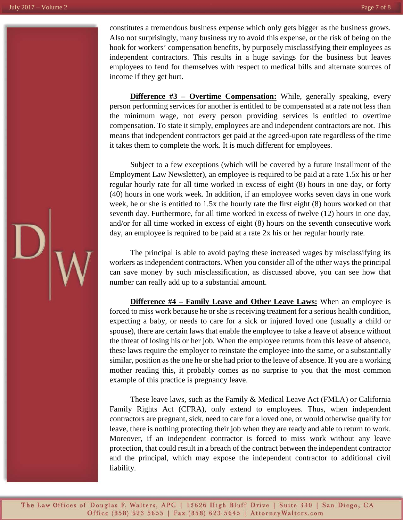constitutes a tremendous business expense which only gets bigger as the business grows. Also not surprisingly, many business try to avoid this expense, or the risk of being on the hook for workers' compensation benefits, by purposely misclassifying their employees as independent contractors. This results in a huge savings for the business but leaves employees to fend for themselves with respect to medical bills and alternate sources of income if they get hurt.

**Difference #3 – Overtime Compensation:** While, generally speaking, every person performing services for another is entitled to be compensated at a rate not less than the minimum wage, not every person providing services is entitled to overtime compensation. To state it simply, employees are and independent contractors are not. This means that independent contractors get paid at the agreed-upon rate regardless of the time it takes them to complete the work. It is much different for employees.

Subject to a few exceptions (which will be covered by a future installment of the Employment Law Newsletter), an employee is required to be paid at a rate 1.5x his or her regular hourly rate for all time worked in excess of eight (8) hours in one day, or forty (40) hours in one work week. In addition, if an employee works seven days in one work week, he or she is entitled to 1.5x the hourly rate the first eight (8) hours worked on that seventh day. Furthermore, for all time worked in excess of twelve (12) hours in one day, and/or for all time worked in excess of eight (8) hours on the seventh consecutive work day, an employee is required to be paid at a rate 2x his or her regular hourly rate.

The principal is able to avoid paying these increased wages by misclassifying its workers as independent contractors. When you consider all of the other ways the principal can save money by such misclassification, as discussed above, you can see how that number can really add up to a substantial amount.

**Difference #4 – Family Leave and Other Leave Laws:** When an employee is forced to miss work because he or she is receiving treatment for a serious health condition, expecting a baby, or needs to care for a sick or injured loved one (usually a child or spouse), there are certain laws that enable the employee to take a leave of absence without the threat of losing his or her job. When the employee returns from this leave of absence, these laws require the employer to reinstate the employee into the same, or a substantially similar, position as the one he or she had prior to the leave of absence. If you are a working mother reading this, it probably comes as no surprise to you that the most common example of this practice is pregnancy leave.

These leave laws, such as the Family & Medical Leave Act (FMLA) or California Family Rights Act (CFRA), only extend to employees. Thus, when independent contractors are pregnant, sick, need to care for a loved one, or would otherwise qualify for leave, there is nothing protecting their job when they are ready and able to return to work. Moreover, if an independent contractor is forced to miss work without any leave protection, that could result in a breach of the contract between the independent contractor and the principal, which may expose the independent contractor to additional civil liability.